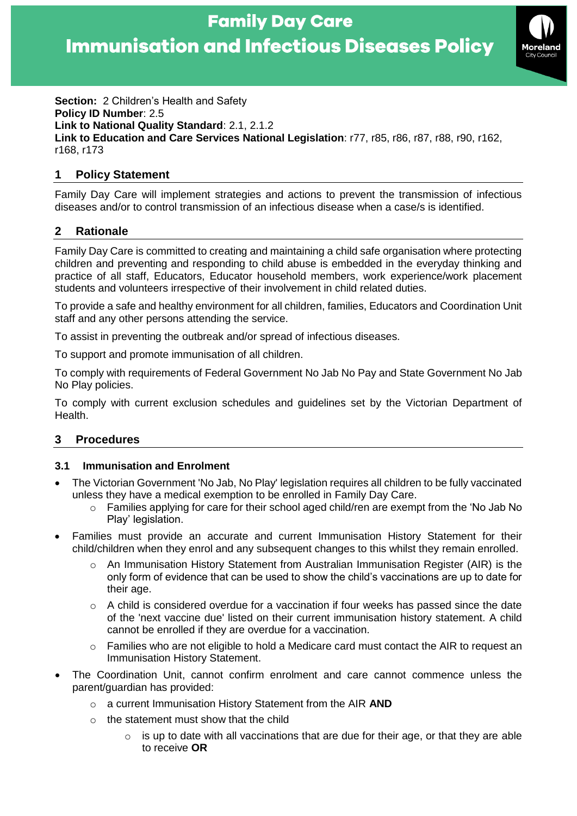

**Section:** 2 Children's Health and Safety **Policy ID Number**: 2.5 **Link to National Quality Standard**: 2.1, 2.1.2 **Link to Education and Care Services National Legislation**: r77, r85, r86, r87, r88, r90, r162, r168, r173

### **1 Policy Statement**

Family Day Care will implement strategies and actions to prevent the transmission of infectious diseases and/or to control transmission of an infectious disease when a case/s is identified.

## **2 Rationale**

Family Day Care is committed to creating and maintaining a child safe organisation where protecting children and preventing and responding to child abuse is embedded in the everyday thinking and practice of all staff, Educators, Educator household members, work experience/work placement students and volunteers irrespective of their involvement in child related duties.

To provide a safe and healthy environment for all children, families, Educators and Coordination Unit staff and any other persons attending the service.

To assist in preventing the outbreak and/or spread of infectious diseases.

To support and promote immunisation of all children.

To comply with requirements of Federal Government No Jab No Pay and State Government No Jab No Play policies.

To comply with current exclusion schedules and guidelines set by the Victorian Department of Health.

## **3 Procedures**

#### **3.1 Immunisation and Enrolment**

- The Victorian Government 'No Jab, No Play' legislation requires all children to be fully vaccinated unless they have a medical exemption to be enrolled in Family Day Care.
	- $\circ$  Families applying for care for their school aged child/ren are exempt from the 'No Jab No Play' legislation.
- Families must provide an accurate and current Immunisation History Statement for their child/children when they enrol and any subsequent changes to this whilst they remain enrolled.
	- o An Immunisation History Statement from Australian Immunisation Register (AIR) is the only form of evidence that can be used to show the child's vaccinations are up to date for their age.
	- o A child is considered overdue for a vaccination if four weeks has passed since the date of the 'next vaccine due' listed on their current immunisation history statement. A child cannot be enrolled if they are overdue for a vaccination.
	- o Families who are not eligible to hold a Medicare card must contact the AIR to request an Immunisation History Statement.
- The Coordination Unit, cannot confirm enrolment and care cannot commence unless the parent/guardian has provided:
	- o a current Immunisation History Statement from the AIR **AND**
	- $\circ$  the statement must show that the child
		- $\circ$  is up to date with all vaccinations that are due for their age, or that they are able to receive **OR**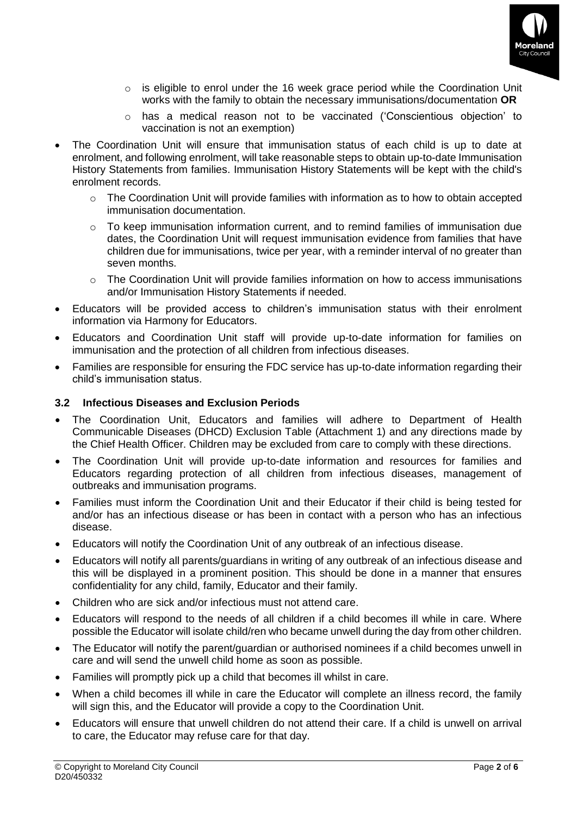

- o is eligible to enrol under the 16 week grace period while the Coordination Unit works with the family to obtain the necessary immunisations/documentation **OR**
- $\circ$  has a medical reason not to be vaccinated ('Conscientious objection' to vaccination is not an exemption)
- The Coordination Unit will ensure that immunisation status of each child is up to date at enrolment, and following enrolment, will take reasonable steps to obtain up-to-date Immunisation History Statements from families. Immunisation History Statements will be kept with the child's enrolment records.
	- $\circ$  The Coordination Unit will provide families with information as to how to obtain accepted immunisation documentation.
	- $\circ$  To keep immunisation information current, and to remind families of immunisation due dates, the Coordination Unit will request immunisation evidence from families that have children due for immunisations, twice per year, with a reminder interval of no greater than seven months.
	- $\circ$  The Coordination Unit will provide families information on how to access immunisations and/or Immunisation History Statements if needed.
- Educators will be provided access to children's immunisation status with their enrolment information via Harmony for Educators.
- Educators and Coordination Unit staff will provide up-to-date information for families on immunisation and the protection of all children from infectious diseases.
- Families are responsible for ensuring the FDC service has up-to-date information regarding their child's immunisation status.

#### **3.2 Infectious Diseases and Exclusion Periods**

- The Coordination Unit, Educators and families will adhere to Department of Health Communicable Diseases (DHCD) Exclusion Table (Attachment 1) and any directions made by the Chief Health Officer. Children may be excluded from care to comply with these directions.
- The Coordination Unit will provide up-to-date information and resources for families and Educators regarding protection of all children from infectious diseases, management of outbreaks and immunisation programs.
- Families must inform the Coordination Unit and their Educator if their child is being tested for and/or has an infectious disease or has been in contact with a person who has an infectious disease.
- Educators will notify the Coordination Unit of any outbreak of an infectious disease.
- Educators will notify all parents/guardians in writing of any outbreak of an infectious disease and this will be displayed in a prominent position. This should be done in a manner that ensures confidentiality for any child, family, Educator and their family.
- Children who are sick and/or infectious must not attend care.
- Educators will respond to the needs of all children if a child becomes ill while in care. Where possible the Educator will isolate child/ren who became unwell during the day from other children.
- The Educator will notify the parent/guardian or authorised nominees if a child becomes unwell in care and will send the unwell child home as soon as possible.
- Families will promptly pick up a child that becomes ill whilst in care.
- When a child becomes ill while in care the Educator will complete an illness record, the family will sign this, and the Educator will provide a copy to the Coordination Unit.
- Educators will ensure that unwell children do not attend their care. If a child is unwell on arrival to care, the Educator may refuse care for that day.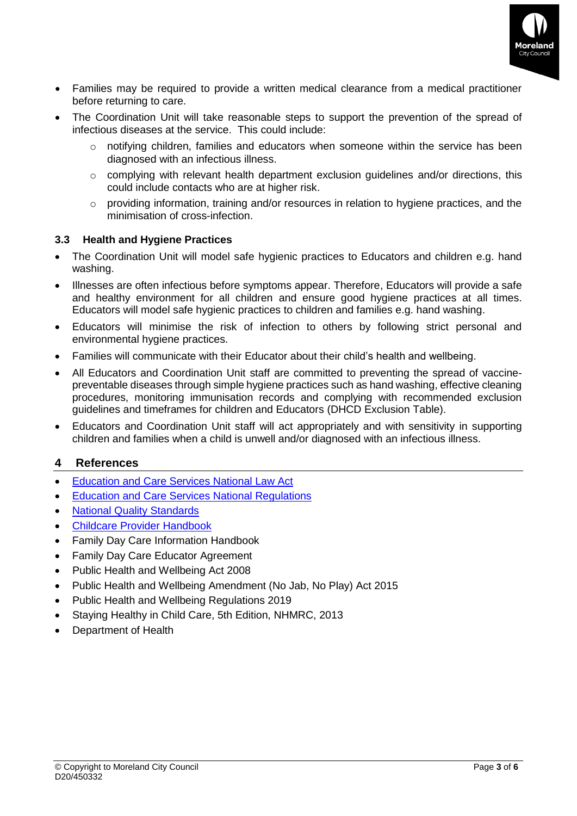

- Families may be required to provide a written medical clearance from a medical practitioner before returning to care.
- The Coordination Unit will take reasonable steps to support the prevention of the spread of infectious diseases at the service. This could include:
	- $\circ$  notifying children, families and educators when someone within the service has been diagnosed with an infectious illness.
	- o complying with relevant health department exclusion guidelines and/or directions, this could include contacts who are at higher risk.
	- o providing information, training and/or resources in relation to hygiene practices, and the minimisation of cross-infection.

#### **3.3 Health and Hygiene Practices**

- The Coordination Unit will model safe hygienic practices to Educators and children e.g. hand washing.
- Illnesses are often infectious before symptoms appear. Therefore, Educators will provide a safe and healthy environment for all children and ensure good hygiene practices at all times. Educators will model safe hygienic practices to children and families e.g. hand washing.
- Educators will minimise the risk of infection to others by following strict personal and environmental hygiene practices.
- Families will communicate with their Educator about their child's health and wellbeing.
- All Educators and Coordination Unit staff are committed to preventing the spread of vaccinepreventable diseases through simple hygiene practices such as hand washing, effective cleaning procedures, monitoring immunisation records and complying with recommended exclusion guidelines and timeframes for children and Educators (DHCD Exclusion Table).
- Educators and Coordination Unit staff will act appropriately and with sensitivity in supporting children and families when a child is unwell and/or diagnosed with an infectious illness.

#### **4 References**

- [Education and Care Services National Law Act](https://www.acecqa.gov.au/nqf/national-law-regulations/national-law)
- [Education and Care Services National Regulations](https://www.acecqa.gov.au/nqf/national-law-regulations/national-regulations)
- **[National Quality Standards](https://www.acecqa.gov.au/nqf/national-quality-standard)**
- [Childcare Provider Handbook](https://docs.education.gov.au/system/files/doc/other/child_care_provider_handbook_1.pdf)
- Family Day Care Information Handbook
- Family Day Care Educator Agreement
- Public Health and Wellbeing Act 2008
- Public Health and Wellbeing Amendment (No Jab, No Play) Act 2015
- Public Health and Wellbeing Regulations 2019
- Staying Healthy in Child Care, 5th Edition, NHMRC, 2013
- Department of Health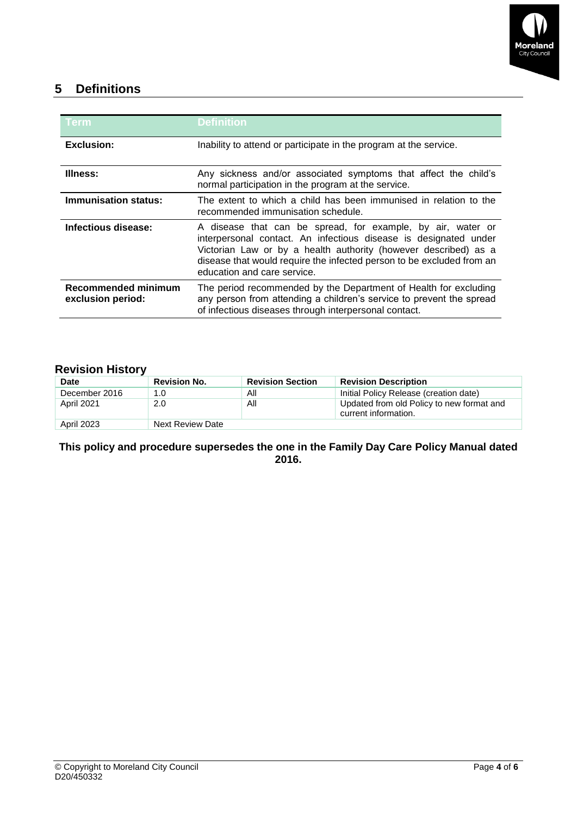

# **5 Definitions**

| Term                                     | Definition                                                                                                                                                                                                                                                                                                 |  |
|------------------------------------------|------------------------------------------------------------------------------------------------------------------------------------------------------------------------------------------------------------------------------------------------------------------------------------------------------------|--|
| <b>Exclusion:</b>                        | Inability to attend or participate in the program at the service.                                                                                                                                                                                                                                          |  |
| Illness:                                 | Any sickness and/or associated symptoms that affect the child's<br>normal participation in the program at the service.                                                                                                                                                                                     |  |
| <b>Immunisation status:</b>              | The extent to which a child has been immunised in relation to the<br>recommended immunisation schedule.                                                                                                                                                                                                    |  |
| <b>Infectious disease:</b>               | A disease that can be spread, for example, by air, water or<br>interpersonal contact. An infectious disease is designated under<br>Victorian Law or by a health authority (however described) as a<br>disease that would require the infected person to be excluded from an<br>education and care service. |  |
| Recommended minimum<br>exclusion period: | The period recommended by the Department of Health for excluding<br>any person from attending a children's service to prevent the spread<br>of infectious diseases through interpersonal contact.                                                                                                          |  |

### **Revision History**

| <b>Date</b>   | <b>Revision No.</b>     | <b>Revision Section</b> | <b>Revision Description</b>                                       |  |  |  |
|---------------|-------------------------|-------------------------|-------------------------------------------------------------------|--|--|--|
| December 2016 | 1.0                     | Αll                     | Initial Policy Release (creation date)                            |  |  |  |
| April 2021    | 2.0                     | All                     | Updated from old Policy to new format and<br>current information. |  |  |  |
| April 2023    | <b>Next Review Date</b> |                         |                                                                   |  |  |  |

#### **This policy and procedure supersedes the one in the Family Day Care Policy Manual dated 2016.**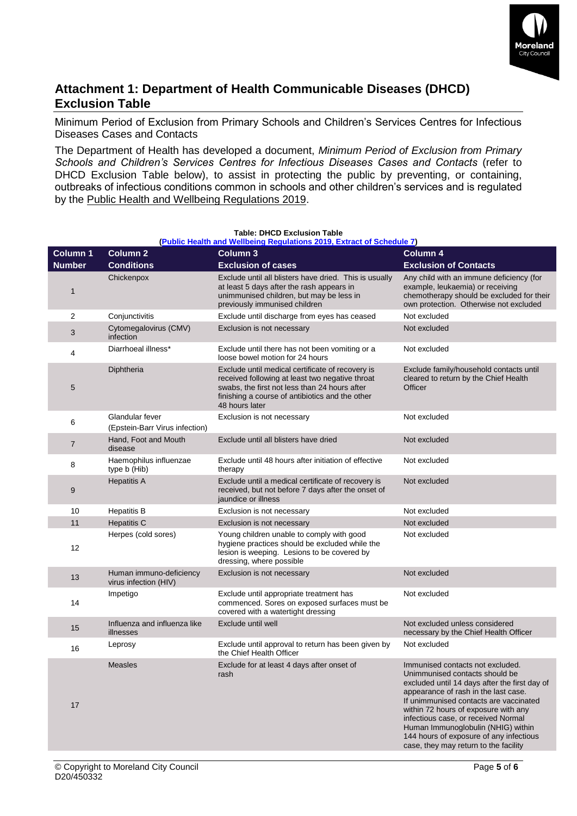

# **Attachment 1: Department of Health Communicable Diseases (DHCD) Exclusion Table**

Minimum Period of Exclusion from Primary Schools and Children's Services Centres for Infectious Diseases Cases and Contacts

The Department of Health has developed a document, *Minimum Period of Exclusion from Primary Schools and Children's Services Centres for Infectious Diseases Cases and Contacts* (refer to DHCD Exclusion Table below), to assist in protecting the public by preventing, or containing, outbreaks of infectious conditions common in schools and other children's services and is regulated by the Public Health and Wellbeing Regulations 2019.

| Column 1      | <b>Column 2</b>                                   | <b>Column 3</b>                                                                                                                                                                                                           | Column 4                                                                                                                                                                                                                                                                                                                                                                                                       |
|---------------|---------------------------------------------------|---------------------------------------------------------------------------------------------------------------------------------------------------------------------------------------------------------------------------|----------------------------------------------------------------------------------------------------------------------------------------------------------------------------------------------------------------------------------------------------------------------------------------------------------------------------------------------------------------------------------------------------------------|
| <b>Number</b> | <b>Conditions</b>                                 | <b>Exclusion of cases</b>                                                                                                                                                                                                 | <b>Exclusion of Contacts</b>                                                                                                                                                                                                                                                                                                                                                                                   |
| $\mathbf{1}$  | Chickenpox                                        | Exclude until all blisters have dried. This is usually<br>at least 5 days after the rash appears in<br>unimmunised children, but may be less in<br>previously immunised children                                          | Any child with an immune deficiency (for<br>example, leukaemia) or receiving<br>chemotherapy should be excluded for their<br>own protection. Otherwise not excluded                                                                                                                                                                                                                                            |
| 2             | Conjunctivitis                                    | Exclude until discharge from eyes has ceased                                                                                                                                                                              | Not excluded                                                                                                                                                                                                                                                                                                                                                                                                   |
| 3             | Cytomegalovirus (CMV)<br>infection                | Exclusion is not necessary                                                                                                                                                                                                | Not excluded                                                                                                                                                                                                                                                                                                                                                                                                   |
| 4             | Diarrhoeal illness*                               | Exclude until there has not been vomiting or a<br>loose bowel motion for 24 hours                                                                                                                                         | Not excluded                                                                                                                                                                                                                                                                                                                                                                                                   |
| 5             | Diphtheria                                        | Exclude until medical certificate of recovery is<br>received following at least two negative throat<br>swabs, the first not less than 24 hours after<br>finishing a course of antibiotics and the other<br>48 hours later | Exclude family/household contacts until<br>cleared to return by the Chief Health<br>Officer                                                                                                                                                                                                                                                                                                                    |
| 6             | Glandular fever<br>(Epstein-Barr Virus infection) | Exclusion is not necessary                                                                                                                                                                                                | Not excluded                                                                                                                                                                                                                                                                                                                                                                                                   |
| 7             | Hand, Foot and Mouth<br>disease                   | Exclude until all blisters have dried                                                                                                                                                                                     | Not excluded                                                                                                                                                                                                                                                                                                                                                                                                   |
| 8             | Haemophilus influenzae<br>type b (Hib)            | Exclude until 48 hours after initiation of effective<br>therapy                                                                                                                                                           | Not excluded                                                                                                                                                                                                                                                                                                                                                                                                   |
| 9             | <b>Hepatitis A</b>                                | Exclude until a medical certificate of recovery is<br>received, but not before 7 days after the onset of<br>jaundice or illness                                                                                           | Not excluded                                                                                                                                                                                                                                                                                                                                                                                                   |
| 10            | <b>Hepatitis B</b>                                | Exclusion is not necessary                                                                                                                                                                                                | Not excluded                                                                                                                                                                                                                                                                                                                                                                                                   |
| 11            | <b>Hepatitis C</b>                                | Exclusion is not necessary                                                                                                                                                                                                | Not excluded                                                                                                                                                                                                                                                                                                                                                                                                   |
| 12            | Herpes (cold sores)                               | Young children unable to comply with good<br>hygiene practices should be excluded while the<br>lesion is weeping. Lesions to be covered by<br>dressing, where possible                                                    | Not excluded                                                                                                                                                                                                                                                                                                                                                                                                   |
| 13            | Human immuno-deficiency<br>virus infection (HIV)  | Exclusion is not necessary                                                                                                                                                                                                | Not excluded                                                                                                                                                                                                                                                                                                                                                                                                   |
| 14            | Impetigo                                          | Exclude until appropriate treatment has<br>commenced. Sores on exposed surfaces must be<br>covered with a watertight dressing                                                                                             | Not excluded                                                                                                                                                                                                                                                                                                                                                                                                   |
| 15            | Influenza and influenza like<br>illnesses         | Exclude until well                                                                                                                                                                                                        | Not excluded unless considered<br>necessary by the Chief Health Officer                                                                                                                                                                                                                                                                                                                                        |
| 16            | Leprosy                                           | Exclude until approval to return has been given by<br>the Chief Health Officer                                                                                                                                            | Not excluded                                                                                                                                                                                                                                                                                                                                                                                                   |
| 17            | <b>Measles</b>                                    | Exclude for at least 4 days after onset of<br>rash                                                                                                                                                                        | Immunised contacts not excluded.<br>Unimmunised contacts should be<br>excluded until 14 days after the first day of<br>appearance of rash in the last case.<br>If unimmunised contacts are vaccinated<br>within 72 hours of exposure with any<br>infectious case, or received Normal<br>Human Immunoglobulin (NHIG) within<br>144 hours of exposure of any infectious<br>case, they may return to the facility |
|               |                                                   |                                                                                                                                                                                                                           |                                                                                                                                                                                                                                                                                                                                                                                                                |

#### **Table: DHCD Exclusion Table [\(Public Health and Wellbeing Regulations 2019, Extract of Schedule 7\)](https://www2.health.vic.gov.au/public-health/infectious-diseases/school-exclusion/school-exclusion-table)**